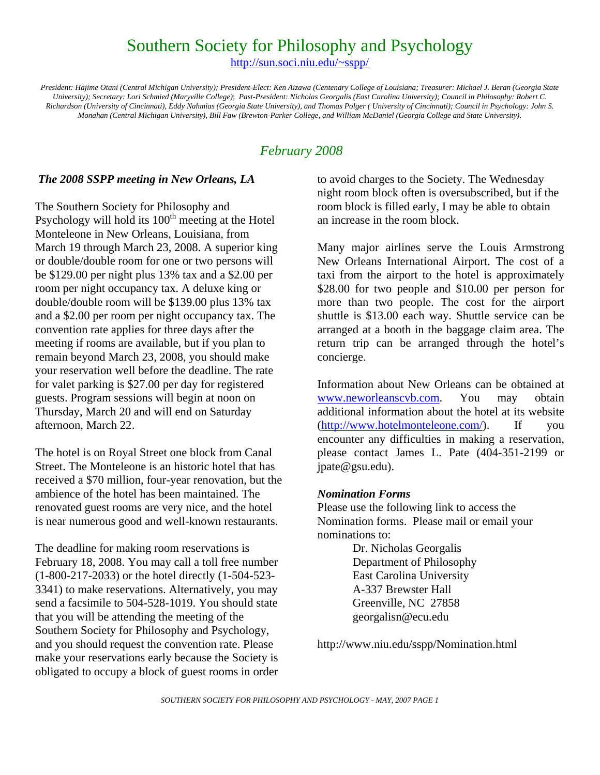# Southern Society for Philosophy and Psychology

http://sun.soci.niu.edu/~sspp/

*President: Hajime Otani (Central Michigan University); President-Elect: Ken Aizawa (Centenary College of Louisiana; Treasurer: Michael J. Beran (Georgia State University); Secretary: Lori Schmied (Maryville College)*; *Past-President: Nicholas Georgalis (East Carolina University); Council in Philosophy: Robert C. Richardson (University of Cincinnati), Eddy Nahmias (Georgia State University), and Thomas Polger ( University of Cincinnati); Council in Psychology: John S. Monahan (Central Michigan University), Bill Faw (Brewton-Parker College, and William McDaniel (Georgia College and State University).* 

### *February 2008*

#### *The 2008 SSPP meeting in New Orleans, LA*

The Southern Society for Philosophy and Psychology will hold its 100<sup>th</sup> meeting at the Hotel Monteleone in New Orleans, Louisiana, from March 19 through March 23, 2008. A superior king or double/double room for one or two persons will be \$129.00 per night plus 13% tax and a \$2.00 per room per night occupancy tax. A deluxe king or double/double room will be \$139.00 plus 13% tax and a \$2.00 per room per night occupancy tax. The convention rate applies for three days after the meeting if rooms are available, but if you plan to remain beyond March 23, 2008, you should make your reservation well before the deadline. The rate for valet parking is \$27.00 per day for registered guests. Program sessions will begin at noon on Thursday, March 20 and will end on Saturday afternoon, March 22.

The hotel is on Royal Street one block from Canal Street. The Monteleone is an historic hotel that has received a \$70 million, four-year renovation, but the ambience of the hotel has been maintained. The renovated guest rooms are very nice, and the hotel is near numerous good and well-known restaurants.

The deadline for making room reservations is February 18, 2008. You may call a toll free number (1-800-217-2033) or the hotel directly (1-504-523- 3341) to make reservations. Alternatively, you may send a facsimile to 504-528-1019. You should state that you will be attending the meeting of the Southern Society for Philosophy and Psychology, and you should request the convention rate. Please make your reservations early because the Society is obligated to occupy a block of guest rooms in order

to avoid charges to the Society. The Wednesday night room block often is oversubscribed, but if the room block is filled early, I may be able to obtain an increase in the room block.

Many major airlines serve the Louis Armstrong New Orleans International Airport. The cost of a taxi from the airport to the hotel is approximately \$28.00 for two people and \$10.00 per person for more than two people. The cost for the airport shuttle is \$13.00 each way. Shuttle service can be arranged at a booth in the baggage claim area. The return trip can be arranged through the hotel's concierge.

Information about New Orleans can be obtained at www.neworleanscvb.com. You may obtain additional information about the hotel at its website (http://www.hotelmonteleone.com/). If you encounter any difficulties in making a reservation, please contact James L. Pate (404-351-2199 or jpate@gsu.edu).

#### *Nomination Forms*

Please use the following link to access the Nomination forms. Please mail or email your nominations to:

> Dr. Nicholas Georgalis Department of Philosophy East Carolina University A-337 Brewster Hall Greenville, NC 27858 georgalisn@ecu.edu

http://www.niu.edu/sspp/Nomination.html

*SOUTHERN SOCIETY FOR PHILOSOPHY AND PSYCHOLOGY - MAY, 2007 PAGE 1*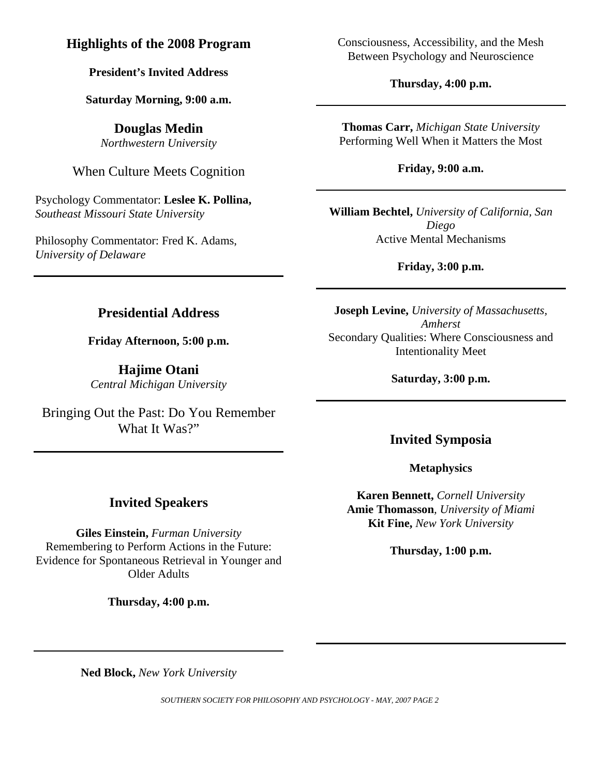## **Highlights of the 2008 Program**

## **President's Invited Address**

### **Saturday Morning, 9:00 a.m.**

**Douglas Medin**  *Northwestern University* 

When Culture Meets Cognition

Psychology Commentator: **Leslee K. Pollina,**  *Southeast Missouri State University* 

Philosophy Commentator: Fred K. Adams, *University of Delaware* 

Consciousness, Accessibility, and the Mesh Between Psychology and Neuroscience

**Thursday, 4:00 p.m.** 

**Thomas Carr,** *Michigan State University*  Performing Well When it Matters the Most

**Friday, 9:00 a.m.** 

**William Bechtel,** *University of California, San Diego* Active Mental Mechanisms

**Friday, 3:00 p.m.** 

## **Presidential Address**

**Friday Afternoon, 5:00 p.m.** 

**Hajime Otani**  *Central Michigan University* 

Bringing Out the Past: Do You Remember What It Was?"

**Joseph Levine,** *University of Massachusetts, Amherst* Secondary Qualities: Where Consciousness and Intentionality Meet

**Saturday, 3:00 p.m.** 

## **Invited Symposia**

**Metaphysics** 

**Karen Bennett,** *Cornell University*  **Amie Thomasson***, University of Miami*  **Kit Fine,** *New York University* 

**Thursday, 1:00 p.m.** 

**Ned Block,** *New York University* 

*SOUTHERN SOCIETY FOR PHILOSOPHY AND PSYCHOLOGY - MAY, 2007 PAGE 2* 

## **Invited Speakers**

**Giles Einstein,** *Furman University*  Remembering to Perform Actions in the Future: Evidence for Spontaneous Retrieval in Younger and Older Adults

**Thursday, 4:00 p.m.**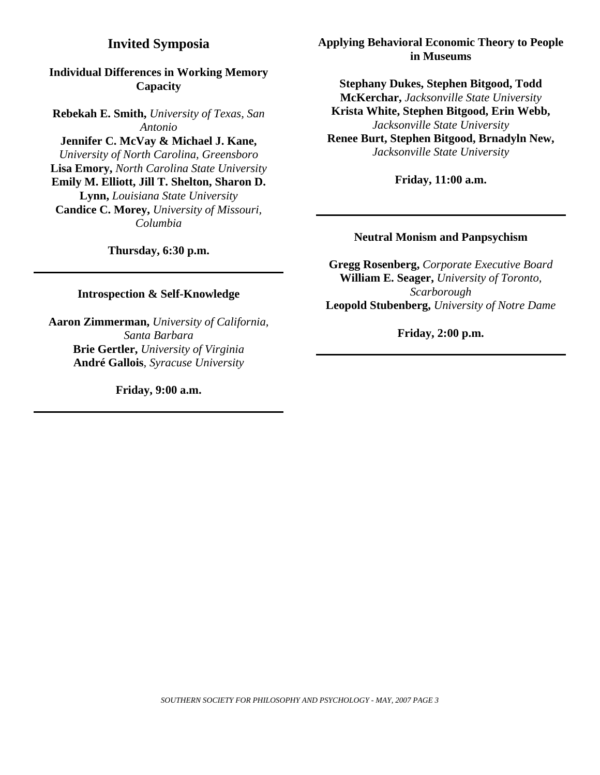### **Invited Symposia**

### **Individual Differences in Working Memory Capacity**

**Rebekah E. Smith,** *University of Texas, San Antonio*  **Jennifer C. McVay & Michael J. Kane,**  *University of North Carolina, Greensboro*  **Lisa Emory,** *North Carolina State University*  **Emily M. Elliott, Jill T. Shelton, Sharon D. Lynn,** *Louisiana State University*  **Candice C. Morey,** *University of Missouri, Columbia* 

**Thursday, 6:30 p.m.** 

**Introspection & Self-Knowledge** 

**Aaron Zimmerman,** *University of California, Santa Barbara*  **Brie Gertler,** *University of Virginia*  **André Gallois***, Syracuse University* 

**Friday, 9:00 a.m.** 

#### **Applying Behavioral Economic Theory to People in Museums**

**Stephany Dukes, Stephen Bitgood, Todd McKerchar,** *Jacksonville State University* **Krista White, Stephen Bitgood, Erin Webb,**  *Jacksonville State University*  **Renee Burt, Stephen Bitgood, Brnadyln New,**  *Jacksonville State University*

**Friday, 11:00 a.m.** 

#### **Neutral Monism and Panpsychism**

**Gregg Rosenberg,** *Corporate Executive Board* **William E. Seager,** *University of Toronto, Scarborough*  **Leopold Stubenberg,** *University of Notre Dame*

**Friday, 2:00 p.m.**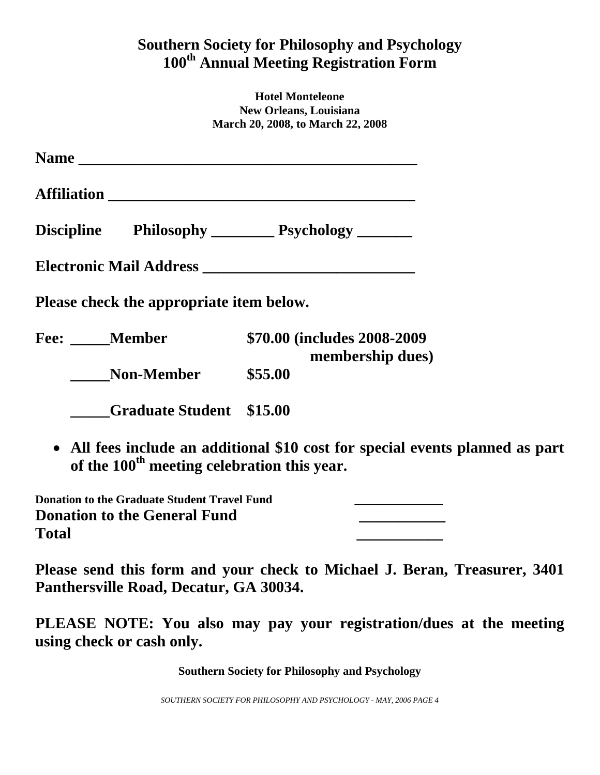# **Southern Society for Philosophy and Psychology 100th Annual Meeting Registration Form**

**Hotel Monteleone New Orleans, Louisiana March 20, 2008, to March 22, 2008**

| Please check the appropriate item below.                |                                                                               |
|---------------------------------------------------------|-------------------------------------------------------------------------------|
| Fee: Member                                             | \$70.00 (includes 2008-2009)<br>membership dues)                              |
| <b>Non-Member</b>                                       | \$55.00                                                                       |
| <b>Graduate Student \$15.00</b>                         |                                                                               |
| of the 100 <sup>th</sup> meeting celebration this year. | • All fees include an additional \$10 cost for special events planned as part |

| <b>Donation to the Graduate Student Travel Fund</b> |  |
|-----------------------------------------------------|--|
| <b>Donation to the General Fund</b>                 |  |
| <b>Total</b>                                        |  |

**Please send this form and your check to Michael J. Beran, Treasurer, 3401 Panthersville Road, Decatur, GA 30034.** 

**PLEASE NOTE: You also may pay your registration/dues at the meeting using check or cash only.** 

**Southern Society for Philosophy and Psychology**

*SOUTHERN SOCIETY FOR PHILOSOPHY AND PSYCHOLOGY - MAY, 2006 PAGE 4*